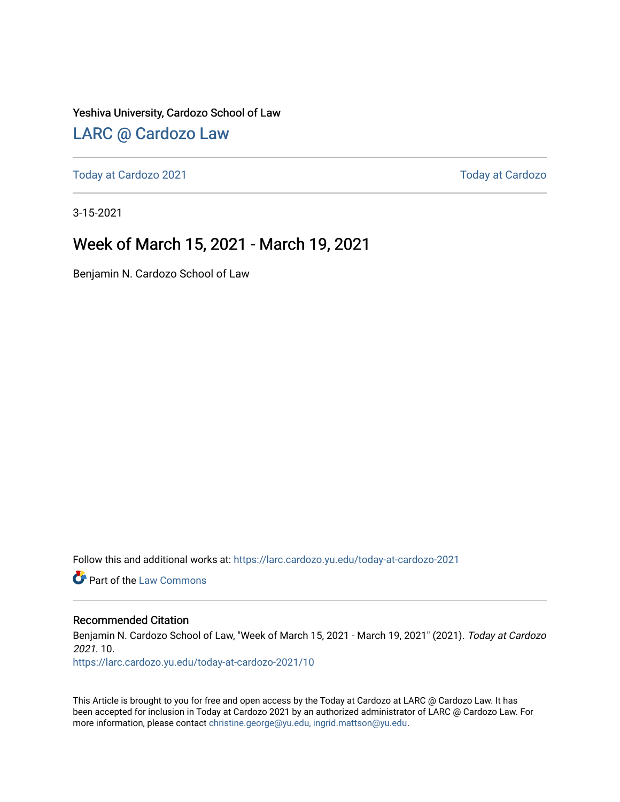Yeshiva University, Cardozo School of Law

### [LARC @ Cardozo Law](https://larc.cardozo.yu.edu/)

[Today at Cardozo 2021](https://larc.cardozo.yu.edu/today-at-cardozo-2021) **Today at Cardozo** 2021

3-15-2021

### Week of March 15, 2021 - March 19, 2021

Benjamin N. Cardozo School of Law

Follow this and additional works at: [https://larc.cardozo.yu.edu/today-at-cardozo-2021](https://larc.cardozo.yu.edu/today-at-cardozo-2021?utm_source=larc.cardozo.yu.edu%2Ftoday-at-cardozo-2021%2F10&utm_medium=PDF&utm_campaign=PDFCoverPages)

**C** Part of the [Law Commons](http://network.bepress.com/hgg/discipline/578?utm_source=larc.cardozo.yu.edu%2Ftoday-at-cardozo-2021%2F10&utm_medium=PDF&utm_campaign=PDFCoverPages)

#### Recommended Citation

Benjamin N. Cardozo School of Law, "Week of March 15, 2021 - March 19, 2021" (2021). Today at Cardozo 2021. 10.

[https://larc.cardozo.yu.edu/today-at-cardozo-2021/10](https://larc.cardozo.yu.edu/today-at-cardozo-2021/10?utm_source=larc.cardozo.yu.edu%2Ftoday-at-cardozo-2021%2F10&utm_medium=PDF&utm_campaign=PDFCoverPages) 

This Article is brought to you for free and open access by the Today at Cardozo at LARC @ Cardozo Law. It has been accepted for inclusion in Today at Cardozo 2021 by an authorized administrator of LARC @ Cardozo Law. For more information, please contact [christine.george@yu.edu, ingrid.mattson@yu.edu](mailto:christine.george@yu.edu,%20ingrid.mattson@yu.edu).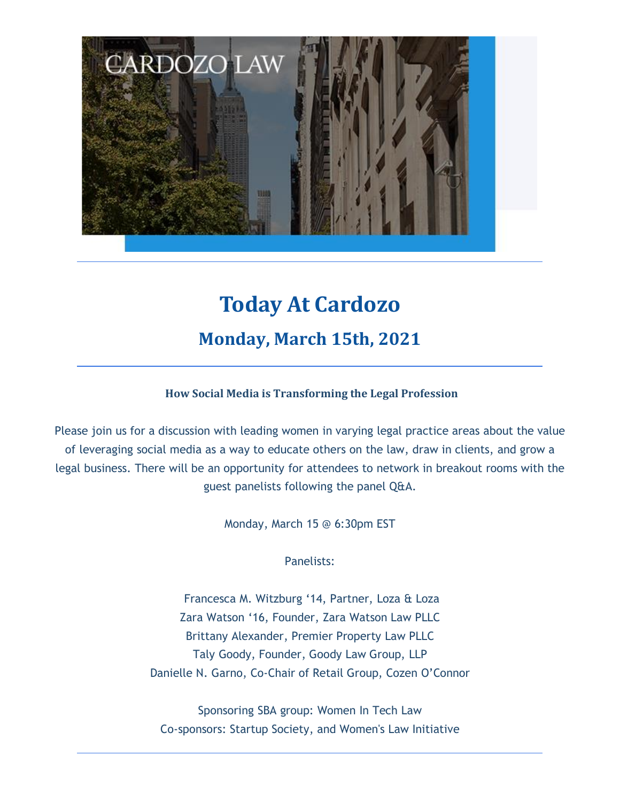

# **Today At Cardozo Monday, March 15th, 2021**

#### **How Social Media is Transforming the Legal Profession**

Please join us for a discussion with leading women in varying legal practice areas about the value of leveraging social media as a way to educate others on the law, draw in clients, and grow a legal business. There will be an opportunity for attendees to network in breakout rooms with the guest panelists following the panel Q&A.

Monday, March 15 @ 6:30pm EST

Panelists:

Francesca M. Witzburg '14, Partner, Loza & Loza Zara Watson '16, Founder, Zara Watson Law PLLC Brittany Alexander, Premier Property Law PLLC Taly Goody, Founder, Goody Law Group, LLP Danielle N. Garno, Co-Chair of Retail Group, Cozen O'Connor

Sponsoring SBA group: Women In Tech Law Co-sponsors: Startup Society, and Women's Law Initiative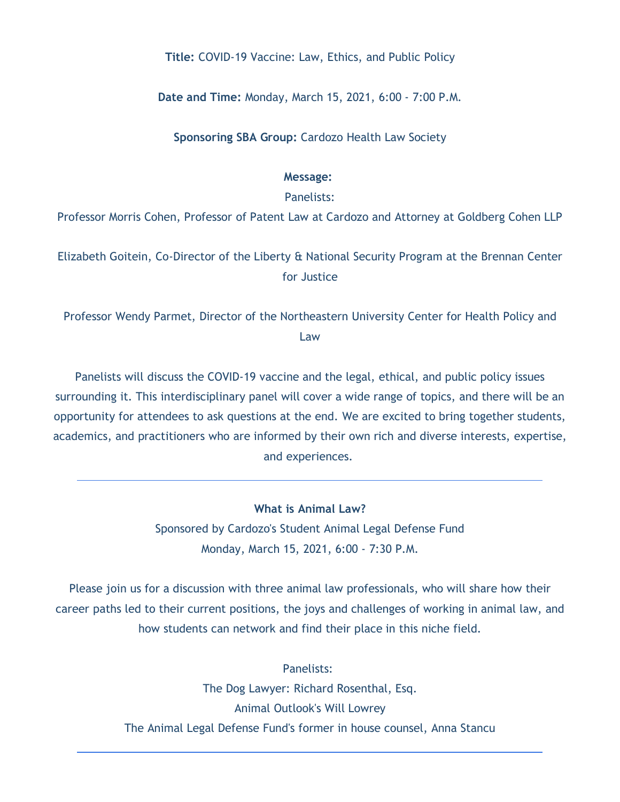#### **Title:** COVID-19 Vaccine: Law, Ethics, and Public Policy

**Date and Time:** Monday, March 15, 2021, 6:00 - 7:00 P.M.

**Sponsoring SBA Group:** Cardozo Health Law Society

#### **Message:**

#### Panelists:

Professor Morris Cohen, Professor of Patent Law at Cardozo and Attorney at Goldberg Cohen LLP

Elizabeth Goitein, Co-Director of the Liberty & National Security Program at the Brennan Center for Justice

Professor Wendy Parmet, Director of the Northeastern University Center for Health Policy and Law

Panelists will discuss the COVID-19 vaccine and the legal, ethical, and public policy issues surrounding it. This interdisciplinary panel will cover a wide range of topics, and there will be an opportunity for attendees to ask questions at the end. We are excited to bring together students, academics, and practitioners who are informed by their own rich and diverse interests, expertise, and experiences.

**What is Animal Law?**

Sponsored by Cardozo's Student Animal Legal Defense Fund Monday, March 15, 2021, 6:00 - 7:30 P.M.

Please join us for a discussion with three animal law professionals, who will share how their career paths led to their current positions, the joys and challenges of working in animal law, and how students can network and find their place in this niche field.

> Panelists: The Dog Lawyer: Richard Rosenthal, Esq. Animal Outlook's Will Lowrey The Animal Legal Defense Fund's former in house counsel, Anna Stancu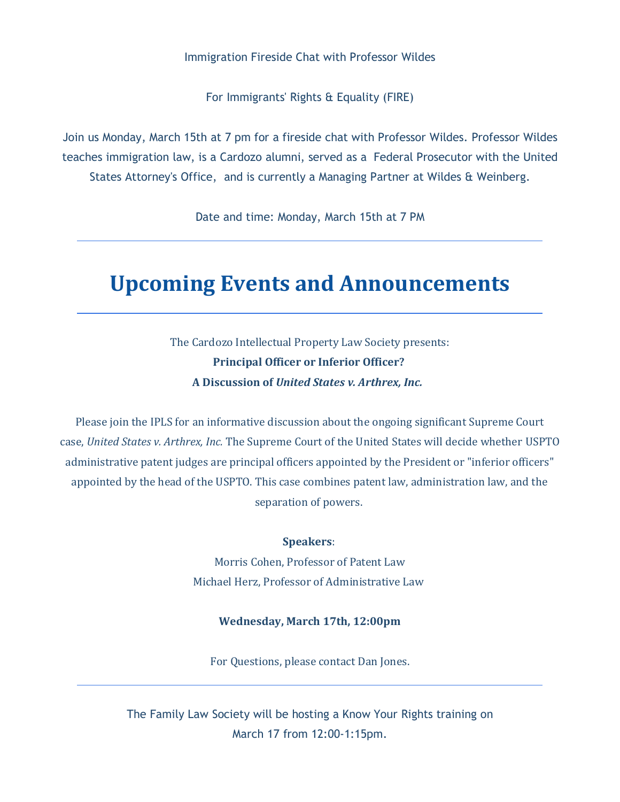#### Immigration Fireside Chat with Professor Wildes

For Immigrants' Rights & Equality (FIRE)

Join us Monday, March 15th at 7 pm for a fireside chat with Professor Wildes. Professor Wildes teaches immigration law, is a Cardozo alumni, served as a Federal Prosecutor with the United States Attorney's Office, and is currently a Managing Partner at Wildes & Weinberg.

Date and time: Monday, March 15th at 7 PM

### **Upcoming Events and Announcements**

The Cardozo Intellectual Property Law Society presents: **Principal Officer or Inferior Officer? A Discussion of** *United States v. Arthrex, Inc.*

Please join the IPLS for an informative discussion about the ongoing significant Supreme Court case, *United States v. Arthrex, Inc.* The Supreme Court of the United States will decide whether USPTO administrative patent judges are principal officers appointed by the President or "inferior officers" appointed by the head of the USPTO. This case combines patent law, administration law, and the separation of powers.

#### **Speakers**:

Morris Cohen, Professor of Patent Law Michael Herz, Professor of Administrative Law

#### **Wednesday, March 17th, 12:00pm**

For Questions, please contact Dan Jones.

The Family Law Society will be hosting a Know Your Rights training on March 17 from 12:00-1:15pm.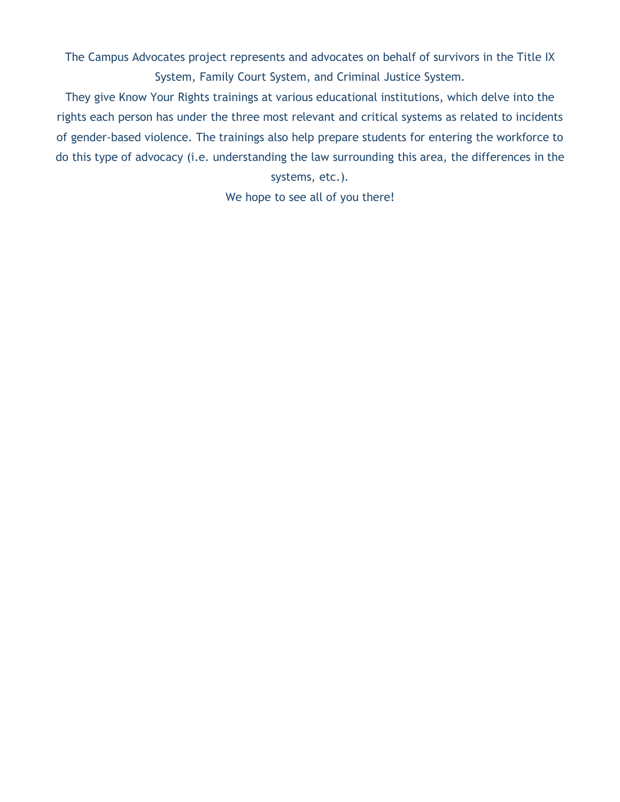The Campus Advocates project represents and advocates on behalf of survivors in the Title IX System, Family Court System, and Criminal Justice System.

They give Know Your Rights trainings at various educational institutions, which delve into the rights each person has under the three most relevant and critical systems as related to incidents of gender-based violence. The trainings also help prepare students for entering the workforce to do this type of advocacy (i.e. understanding the law surrounding this area, the differences in the

systems, etc.).

We hope to see all of you there!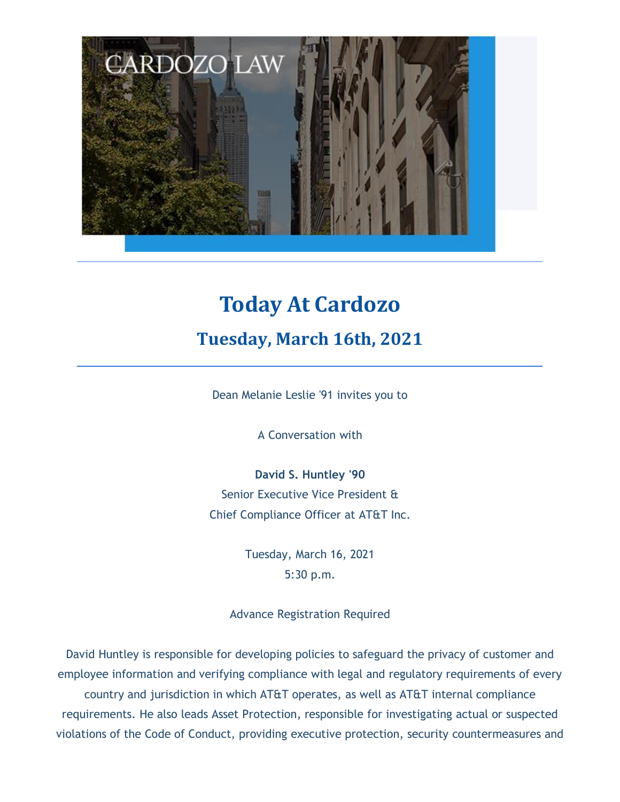

# **Today At Cardozo Tuesday, March 16th, 2021**

Dean Melanie Leslie '91 invites you to

A Conversation with

**David S. Huntley '90** Senior Executive Vice President & Chief Compliance Officer at AT&T Inc.

> Tuesday, March 16, 2021 5:30 p.m.

Advance Registration Required

David Huntley is responsible for developing policies to safeguard the privacy of customer and employee information and verifying compliance with legal and regulatory requirements of every country and jurisdiction in which AT&T operates, as well as AT&T internal compliance requirements. He also leads Asset Protection, responsible for investigating actual or suspected violations of the Code of Conduct, providing executive protection, security countermeasures and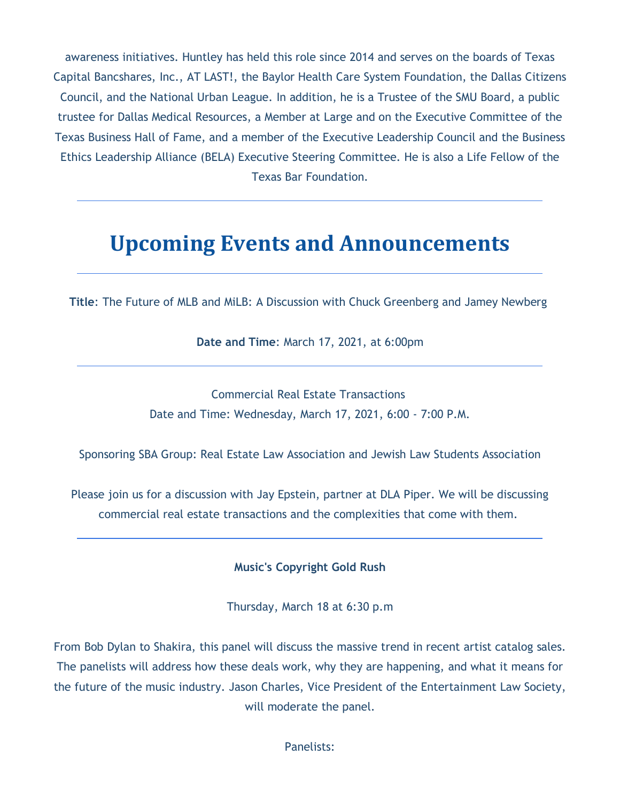awareness initiatives. Huntley has held this role since 2014 and serves on the boards of Texas Capital Bancshares, Inc., AT LAST!, the Baylor Health Care System Foundation, the Dallas Citizens Council, and the National Urban League. In addition, he is a Trustee of the SMU Board, a public trustee for Dallas Medical Resources, a Member at Large and on the Executive Committee of the Texas Business Hall of Fame, and a member of the Executive Leadership Council and the Business Ethics Leadership Alliance (BELA) Executive Steering Committee. He is also a Life Fellow of the Texas Bar Foundation.

## **Upcoming Events and Announcements**

**Title**: The Future of MLB and MiLB: A Discussion with Chuck Greenberg and Jamey Newberg

**Date and Time**: March 17, 2021, at 6:00pm

Commercial Real Estate Transactions Date and Time: Wednesday, March 17, 2021, 6:00 - 7:00 P.M.

Sponsoring SBA Group: Real Estate Law Association and Jewish Law Students Association

Please join us for a discussion with Jay Epstein, partner at DLA Piper. We will be discussing commercial real estate transactions and the complexities that come with them.

**Music's Copyright Gold Rush**

Thursday, March 18 at 6:30 p.m

From Bob Dylan to Shakira, this panel will discuss the massive trend in recent artist catalog sales. The panelists will address how these deals work, why they are happening, and what it means for the future of the music industry. Jason Charles, Vice President of the Entertainment Law Society, will moderate the panel.

Panelists: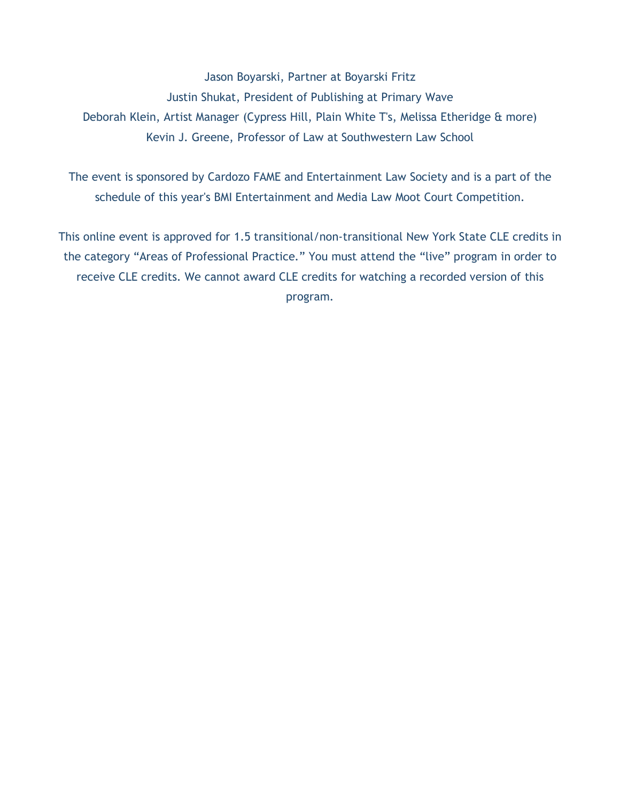Jason Boyarski, Partner at Boyarski Fritz Justin Shukat, President of Publishing at Primary Wave Deborah Klein, Artist Manager (Cypress Hill, Plain White T's, Melissa Etheridge & more) Kevin J. Greene, Professor of Law at Southwestern Law School

The event is sponsored by Cardozo FAME and Entertainment Law Society and is a part of the schedule of this year's BMI Entertainment and Media Law Moot Court Competition.

This online event is approved for 1.5 transitional/non-transitional New York State CLE credits in the category "Areas of Professional Practice." You must attend the "live" program in order to receive CLE credits. We cannot award CLE credits for watching a recorded version of this program.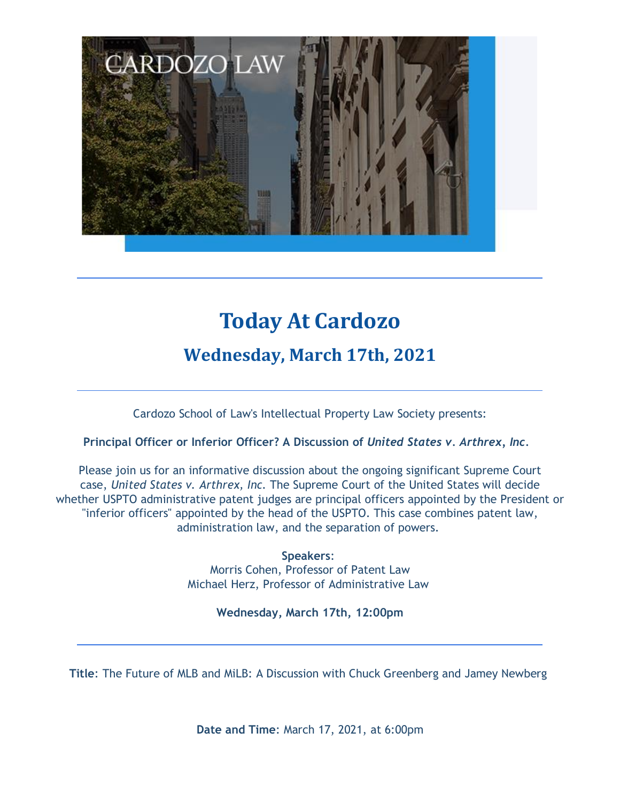

# **Today At Cardozo**

### **Wednesday, March 17th, 2021**

Cardozo School of Law's Intellectual Property Law Society presents:

#### **Principal Officer or Inferior Officer? A Discussion of** *United States v. Arthrex, Inc.*

Please join us for an informative discussion about the ongoing significant Supreme Court case, *United States v. Arthrex, Inc.* The Supreme Court of the United States will decide whether USPTO administrative patent judges are principal officers appointed by the President or "inferior officers" appointed by the head of the USPTO. This case combines patent law, administration law, and the separation of powers.

> **Speakers**: Morris Cohen, Professor of Patent Law Michael Herz, Professor of Administrative Law

#### **Wednesday, March 17th, 12:00pm**

**Title**: The Future of MLB and MiLB: A Discussion with Chuck Greenberg and Jamey Newberg

**Date and Time**: March 17, 2021, at 6:00pm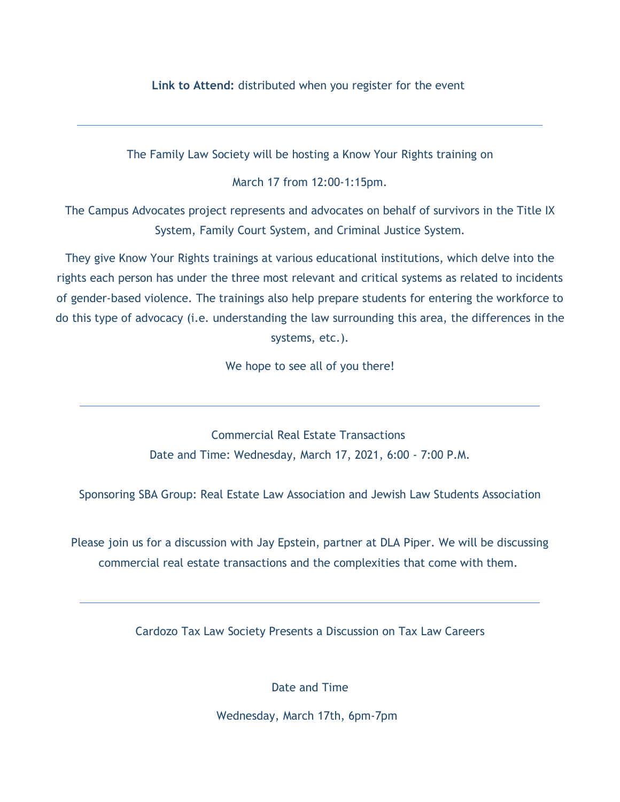#### **Link to Attend:** distributed when you register for the event

The Family Law Society will be hosting a Know Your Rights training on

March 17 from 12:00-1:15pm.

The Campus Advocates project represents and advocates on behalf of survivors in the Title IX System, Family Court System, and Criminal Justice System.

They give Know Your Rights trainings at various educational institutions, which delve into the rights each person has under the three most relevant and critical systems as related to incidents of gender-based violence. The trainings also help prepare students for entering the workforce to do this type of advocacy (i.e. understanding the law surrounding this area, the differences in the systems, etc.).

We hope to see all of you there!

Commercial Real Estate Transactions Date and Time: Wednesday, March 17, 2021, 6:00 - 7:00 P.M.

Sponsoring SBA Group: Real Estate Law Association and Jewish Law Students Association

Please join us for a discussion with Jay Epstein, partner at DLA Piper. We will be discussing commercial real estate transactions and the complexities that come with them.

Cardozo Tax Law Society Presents a Discussion on Tax Law Careers

Date and Time

Wednesday, March 17th, 6pm-7pm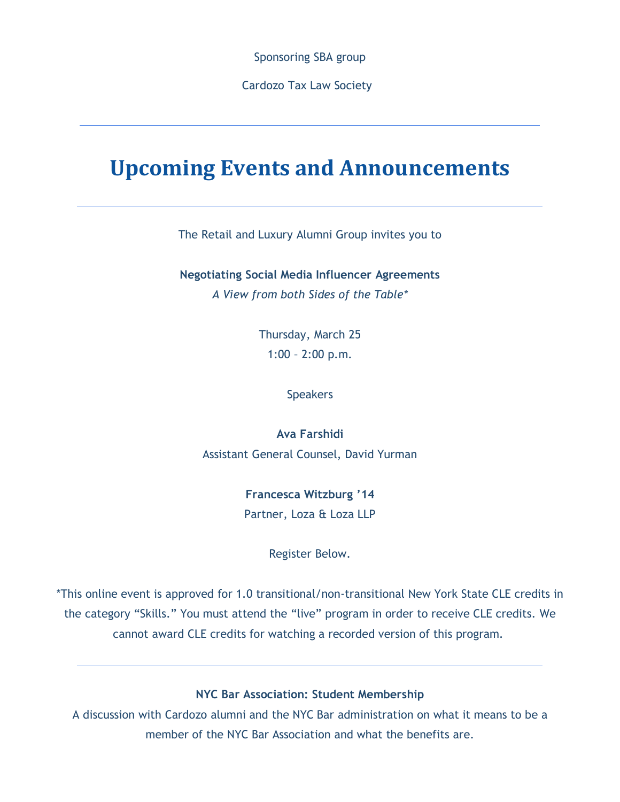Sponsoring SBA group

Cardozo Tax Law Society

### **Upcoming Events and Announcements**

The Retail and Luxury Alumni Group invites you to

**Negotiating Social Media Influencer Agreements** *A View from both Sides of the Table\**

> Thursday, March 25 1:00 – 2:00 p.m.

> > Speakers

**Ava Farshidi** Assistant General Counsel, David Yurman

> **Francesca Witzburg '14** Partner, Loza & Loza LLP

> > Register Below.

\*This online event is approved for 1.0 transitional/non-transitional New York State CLE credits in the category "Skills." You must attend the "live" program in order to receive CLE credits. We cannot award CLE credits for watching a recorded version of this program.

**NYC Bar Association: Student Membership**

A discussion with Cardozo alumni and the NYC Bar administration on what it means to be a member of the NYC Bar Association and what the benefits are.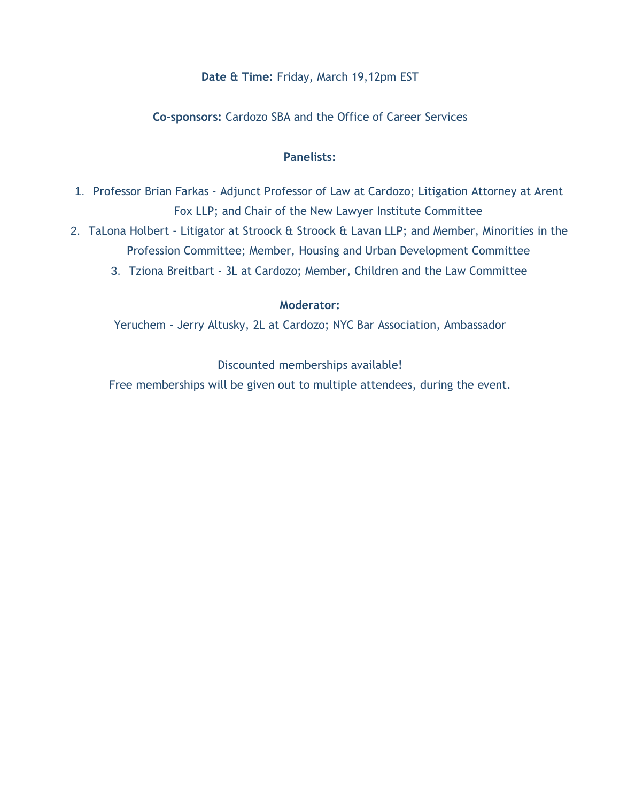#### **Date & Time:** Friday, March 19,12pm EST

#### **Co-sponsors:** Cardozo SBA and the Office of Career Services

#### **Panelists:**

- 1. Professor Brian Farkas Adjunct Professor of Law at Cardozo; Litigation Attorney at Arent Fox LLP; and Chair of the New Lawyer Institute Committee
- 2. TaLona Holbert Litigator at Stroock & Stroock & Lavan LLP; and Member, Minorities in the Profession Committee; Member, Housing and Urban Development Committee
	- 3. Tziona Breitbart 3L at Cardozo; Member, Children and the Law Committee

#### **Moderator:**

Yeruchem - Jerry Altusky, 2L at Cardozo; NYC Bar Association, Ambassador

Discounted memberships available!

Free memberships will be given out to multiple attendees, during the event.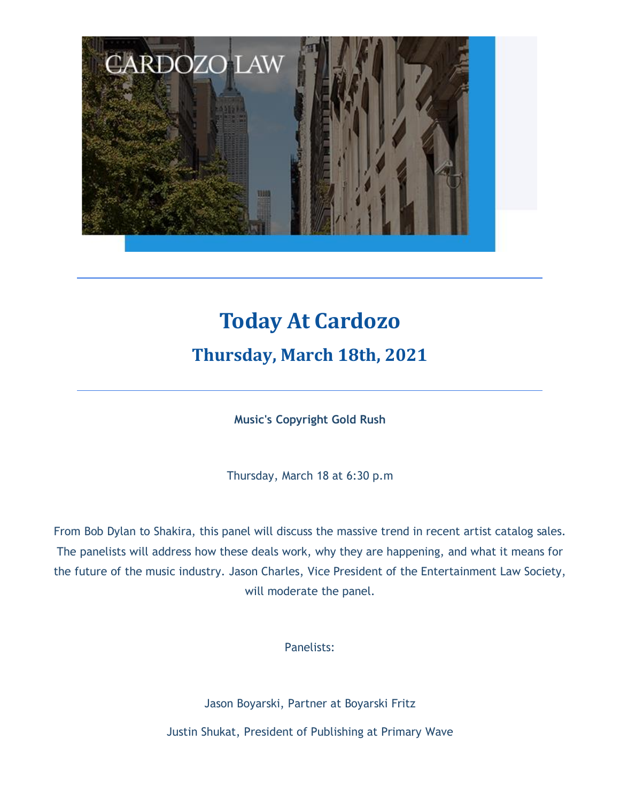

# **Today At Cardozo**

### **Thursday, March 18th, 2021**

**Music's Copyright Gold Rush**

Thursday, March 18 at 6:30 p.m

From Bob Dylan to Shakira, this panel will discuss the massive trend in recent artist catalog sales. The panelists will address how these deals work, why they are happening, and what it means for the future of the music industry. Jason Charles, Vice President of the Entertainment Law Society, will moderate the panel.

Panelists:

Jason Boyarski, Partner at Boyarski Fritz Justin Shukat, President of Publishing at Primary Wave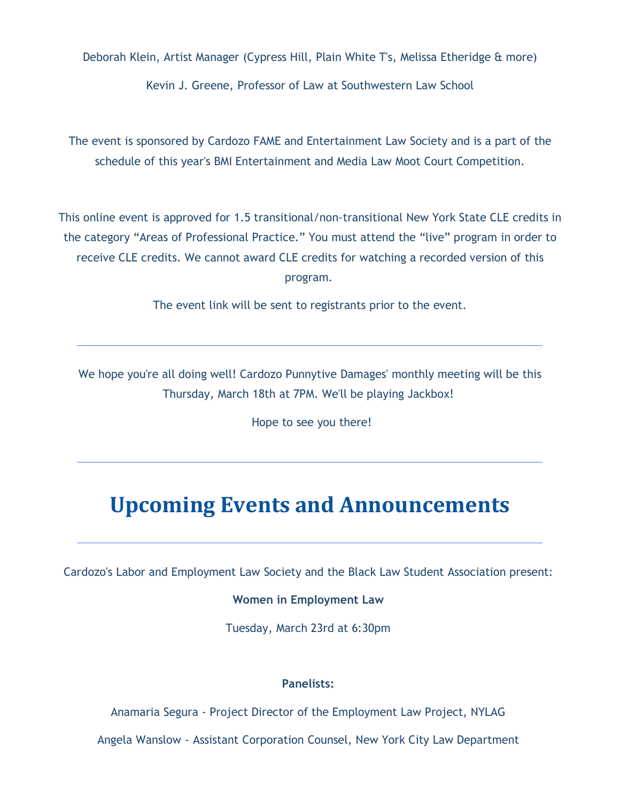Deborah Klein, Artist Manager (Cypress Hill, Plain White T's, Melissa Etheridge & more)

Kevin J. Greene, Professor of Law at Southwestern Law School

The event is sponsored by Cardozo FAME and Entertainment Law Society and is a part of the schedule of this year's BMI Entertainment and Media Law Moot Court Competition.

This online event is approved for 1.5 transitional/non-transitional New York State CLE credits in the category "Areas of Professional Practice." You must attend the "live" program in order to receive CLE credits. We cannot award CLE credits for watching a recorded version of this program.

The event link will be sent to registrants prior to the event.

We hope you're all doing well! Cardozo Punnytive Damages' monthly meeting will be this Thursday, March 18th at 7PM. We'll be playing Jackbox!

Hope to see you there!

## **Upcoming Events and Announcements**

Cardozo's Labor and Employment Law Society and the Black Law Student Association present:

#### **Women in Employment Law**

Tuesday, March 23rd at 6:30pm

#### **Panelists:**

Anamaria Segura - Project Director of the Employment Law Project, NYLAG

Angela Wanslow - Assistant Corporation Counsel, New York City Law Department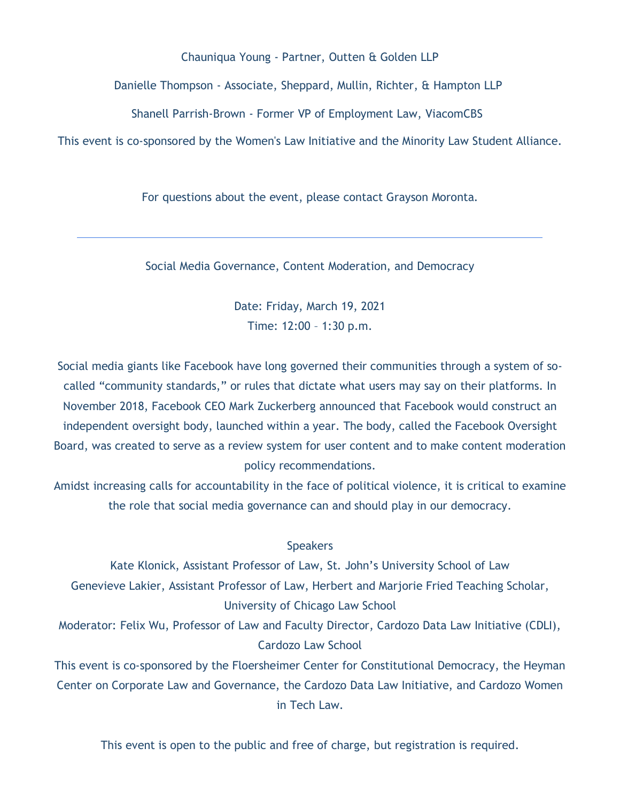Chauniqua Young - Partner, Outten & Golden LLP

Danielle Thompson - Associate, Sheppard, Mullin, Richter, & Hampton LLP

Shanell Parrish-Brown - Former VP of Employment Law, ViacomCBS

This event is co-sponsored by the Women's Law Initiative and the Minority Law Student Alliance.

For questions about the event, please contact Grayson Moronta.

Social Media Governance, Content Moderation, and Democracy

Date: Friday, March 19, 2021 Time: 12:00 – 1:30 p.m.

Social media giants like Facebook have long governed their communities through a system of socalled "community standards," or rules that dictate what users may say on their platforms. In November 2018, Facebook CEO Mark Zuckerberg announced that Facebook would construct an independent oversight body, launched within a year. The body, called the Facebook Oversight Board, was created to serve as a review system for user content and to make content moderation policy recommendations.

Amidst increasing calls for accountability in the face of political violence, it is critical to examine the role that social media governance can and should play in our democracy.

#### **Speakers**

Kate Klonick, Assistant Professor of Law, St. John's University School of Law Genevieve Lakier, Assistant Professor of Law, Herbert and Marjorie Fried Teaching Scholar, University of Chicago Law School

Moderator: Felix Wu, Professor of Law and Faculty Director, Cardozo Data Law Initiative (CDLI), Cardozo Law School

This event is co-sponsored by the Floersheimer Center for Constitutional Democracy, the Heyman Center on Corporate Law and Governance, the Cardozo Data Law Initiative, and Cardozo Women in Tech Law.

This event is open to the public and free of charge, but registration is required.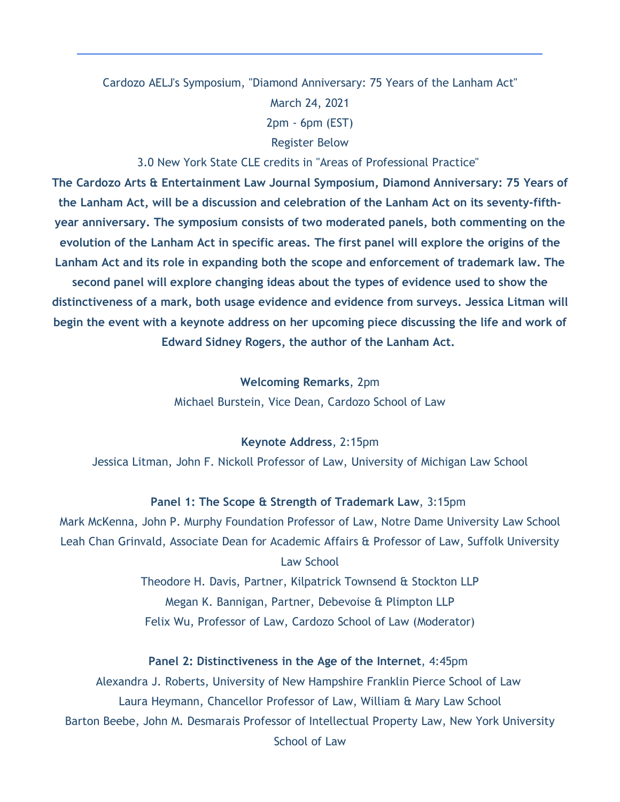### Cardozo AELJ's Symposium, "Diamond Anniversary: 75 Years of the Lanham Act" March 24, 2021 2pm - 6pm (EST) Register Below

3.0 New York State CLE credits in "Areas of Professional Practice"

**The Cardozo Arts & Entertainment Law Journal Symposium, Diamond Anniversary: 75 Years of the Lanham Act, will be a discussion and celebration of the Lanham Act on its seventy-fifthyear anniversary. The symposium consists of two moderated panels, both commenting on the evolution of the Lanham Act in specific areas. The first panel will explore the origins of the Lanham Act and its role in expanding both the scope and enforcement of trademark law. The second panel will explore changing ideas about the types of evidence used to show the distinctiveness of a mark, both usage evidence and evidence from surveys. Jessica Litman will begin the event with a keynote address on her upcoming piece discussing the life and work of**

**Edward Sidney Rogers, the author of the Lanham Act.**

**Welcoming Remarks**, 2pm Michael Burstein, Vice Dean, Cardozo School of Law

**Keynote Address**, 2:15pm

Jessica Litman, John F. Nickoll Professor of Law, University of Michigan Law School

#### **Panel 1: The Scope & Strength of Trademark Law**, 3:15pm

Mark McKenna, John P. Murphy Foundation Professor of Law, Notre Dame University Law School Leah Chan Grinvald, Associate Dean for Academic Affairs & Professor of Law, Suffolk University Law School

> Theodore H. Davis, Partner, Kilpatrick Townsend & Stockton LLP Megan K. Bannigan, Partner, Debevoise & Plimpton LLP Felix Wu, Professor of Law, Cardozo School of Law (Moderator)

#### **Panel 2: Distinctiveness in the Age of the Internet**, 4:45pm

Alexandra J. Roberts, University of New Hampshire Franklin Pierce School of Law Laura Heymann, Chancellor Professor of Law, William & Mary Law School Barton Beebe, John M. Desmarais Professor of Intellectual Property Law, New York University School of Law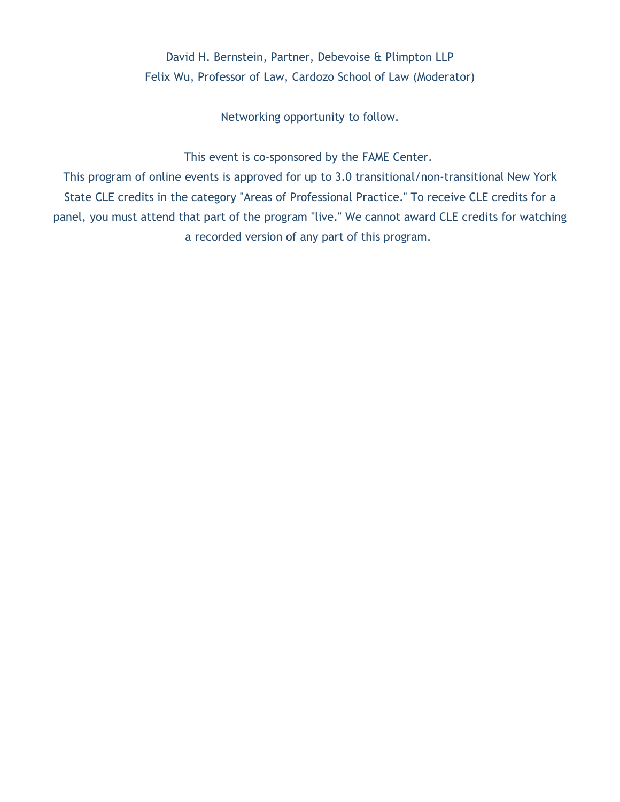### David H. Bernstein, Partner, Debevoise & Plimpton LLP Felix Wu, Professor of Law, Cardozo School of Law (Moderator)

Networking opportunity to follow.

This event is co-sponsored by the FAME Center.

This program of online events is approved for up to 3.0 transitional/non-transitional New York State CLE credits in the category "Areas of Professional Practice." To receive CLE credits for a panel, you must attend that part of the program "live." We cannot award CLE credits for watching a recorded version of any part of this program.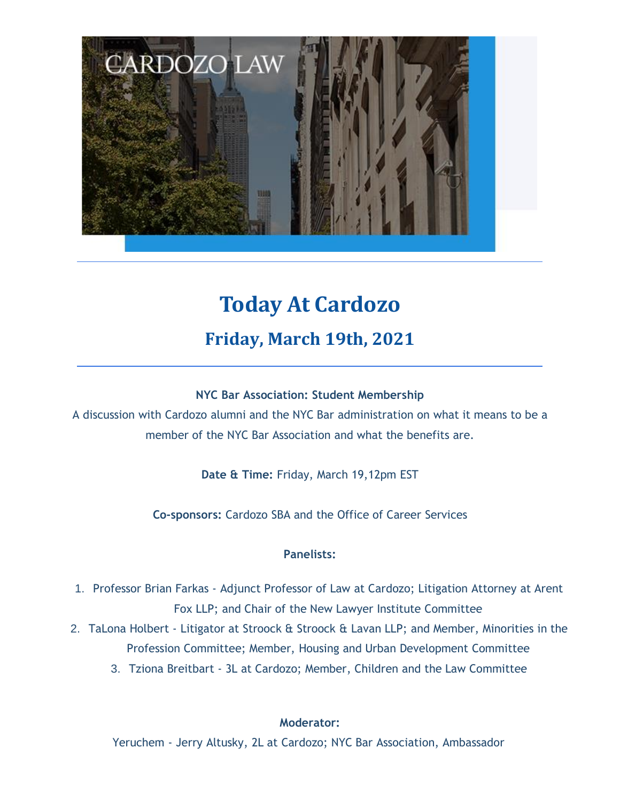

# **Today At Cardozo Friday, March 19th, 2021**

#### **NYC Bar Association: Student Membership**

A discussion with Cardozo alumni and the NYC Bar administration on what it means to be a member of the NYC Bar Association and what the benefits are.

**Date & Time:** Friday, March 19,12pm EST

**Co-sponsors:** Cardozo SBA and the Office of Career Services

#### **Panelists:**

- 1. Professor Brian Farkas Adjunct Professor of Law at Cardozo; Litigation Attorney at Arent Fox LLP; and Chair of the New Lawyer Institute Committee
- 2. TaLona Holbert Litigator at Stroock & Stroock & Lavan LLP; and Member, Minorities in the Profession Committee; Member, Housing and Urban Development Committee
	- 3. Tziona Breitbart 3L at Cardozo; Member, Children and the Law Committee

#### **Moderator:**

Yeruchem - Jerry Altusky, 2L at Cardozo; NYC Bar Association, Ambassador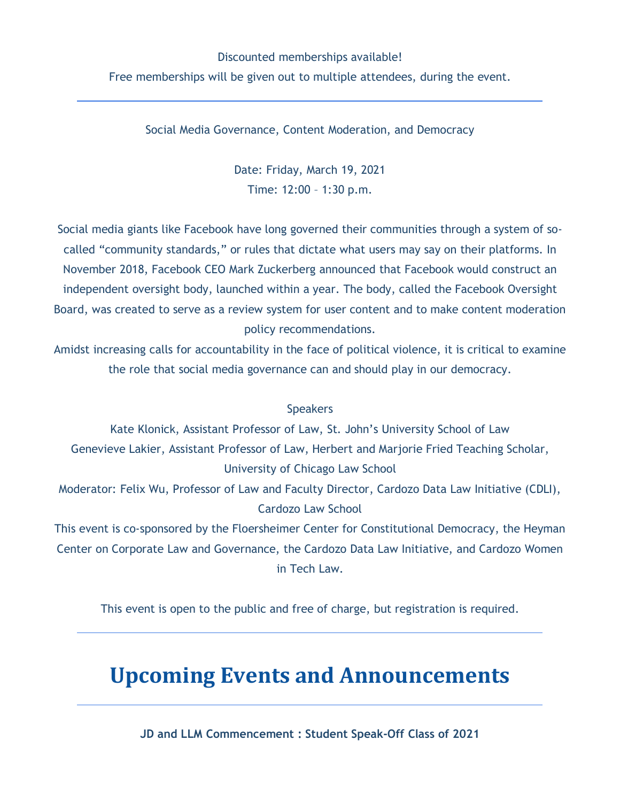### Discounted memberships available! Free memberships will be given out to multiple attendees, during the event.

Social Media Governance, Content Moderation, and Democracy

Date: Friday, March 19, 2021 Time: 12:00 – 1:30 p.m.

Social media giants like Facebook have long governed their communities through a system of socalled "community standards," or rules that dictate what users may say on their platforms. In November 2018, Facebook CEO Mark Zuckerberg announced that Facebook would construct an independent oversight body, launched within a year. The body, called the Facebook Oversight Board, was created to serve as a review system for user content and to make content moderation policy recommendations.

Amidst increasing calls for accountability in the face of political violence, it is critical to examine the role that social media governance can and should play in our democracy.

#### **Speakers**

Kate Klonick, Assistant Professor of Law, St. John's University School of Law Genevieve Lakier, Assistant Professor of Law, Herbert and Marjorie Fried Teaching Scholar, University of Chicago Law School

Moderator: Felix Wu, Professor of Law and Faculty Director, Cardozo Data Law Initiative (CDLI), Cardozo Law School

This event is co-sponsored by the Floersheimer Center for Constitutional Democracy, the Heyman Center on Corporate Law and Governance, the Cardozo Data Law Initiative, and Cardozo Women in Tech Law.

This event is open to the public and free of charge, but registration is required.

## **Upcoming Events and Announcements**

**JD and LLM Commencement : Student Speak-Off Class of 2021**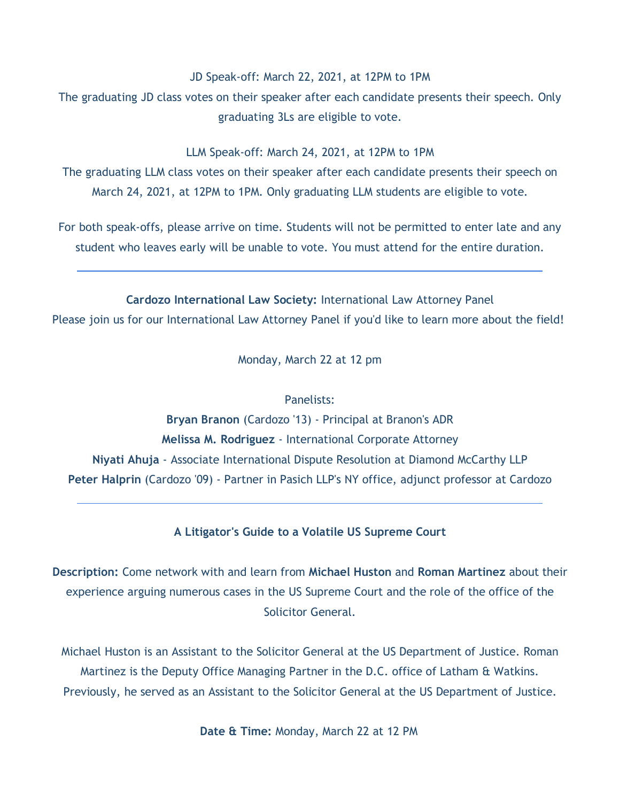JD Speak-off: March 22, 2021, at 12PM to 1PM

The graduating JD class votes on their speaker after each candidate presents their speech. Only graduating 3Ls are eligible to vote.

LLM Speak-off: March 24, 2021, at 12PM to 1PM

The graduating LLM class votes on their speaker after each candidate presents their speech on March 24, 2021, at 12PM to 1PM. Only graduating LLM students are eligible to vote.

For both speak-offs, please arrive on time. Students will not be permitted to enter late and any student who leaves early will be unable to vote. You must attend for the entire duration.

**Cardozo International Law Society:** International Law Attorney Panel Please join us for our International Law Attorney Panel if you'd like to learn more about the field!

Monday, March 22 at 12 pm

#### Panelists:

**Bryan Branon** (Cardozo '13) - Principal at Branon's ADR **Melissa M. Rodriguez** - International Corporate Attorney **Niyati Ahuja** - Associate International Dispute Resolution at Diamond McCarthy LLP **Peter Halprin** (Cardozo '09) - Partner in Pasich LLP's NY office, adjunct professor at Cardozo

#### **A Litigator's Guide to a Volatile US Supreme Court**

**Description:** Come network with and learn from **Michael Huston** and **Roman Martinez** about their experience arguing numerous cases in the US Supreme Court and the role of the office of the Solicitor General.

Michael Huston is an Assistant to the Solicitor General at the US Department of Justice. Roman Martinez is the Deputy Office Managing Partner in the D.C. office of Latham & Watkins. Previously, he served as an Assistant to the Solicitor General at the US Department of Justice.

**Date & Time:** Monday, March 22 at 12 PM